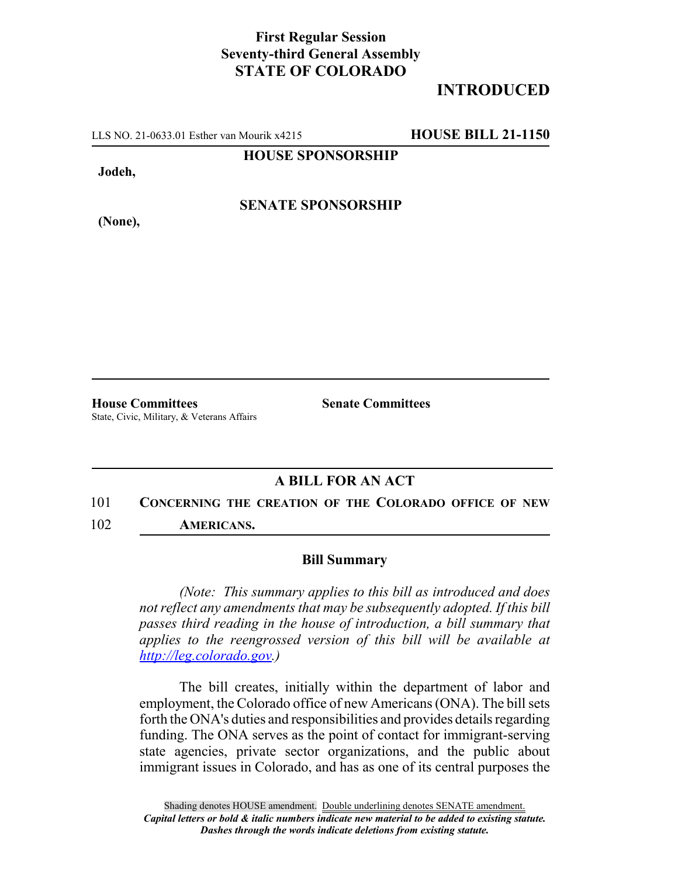## **First Regular Session Seventy-third General Assembly STATE OF COLORADO**

# **INTRODUCED**

LLS NO. 21-0633.01 Esther van Mourik x4215 **HOUSE BILL 21-1150**

**HOUSE SPONSORSHIP**

**Jodeh,**

**(None),**

**SENATE SPONSORSHIP**

State, Civic, Military, & Veterans Affairs

**House Committees Senate Committees**

## **A BILL FOR AN ACT**

#### 101 **CONCERNING THE CREATION OF THE COLORADO OFFICE OF NEW**

102 **AMERICANS.**

### **Bill Summary**

*(Note: This summary applies to this bill as introduced and does not reflect any amendments that may be subsequently adopted. If this bill passes third reading in the house of introduction, a bill summary that applies to the reengrossed version of this bill will be available at http://leg.colorado.gov.)*

The bill creates, initially within the department of labor and employment, the Colorado office of new Americans (ONA). The bill sets forth the ONA's duties and responsibilities and provides details regarding funding. The ONA serves as the point of contact for immigrant-serving state agencies, private sector organizations, and the public about immigrant issues in Colorado, and has as one of its central purposes the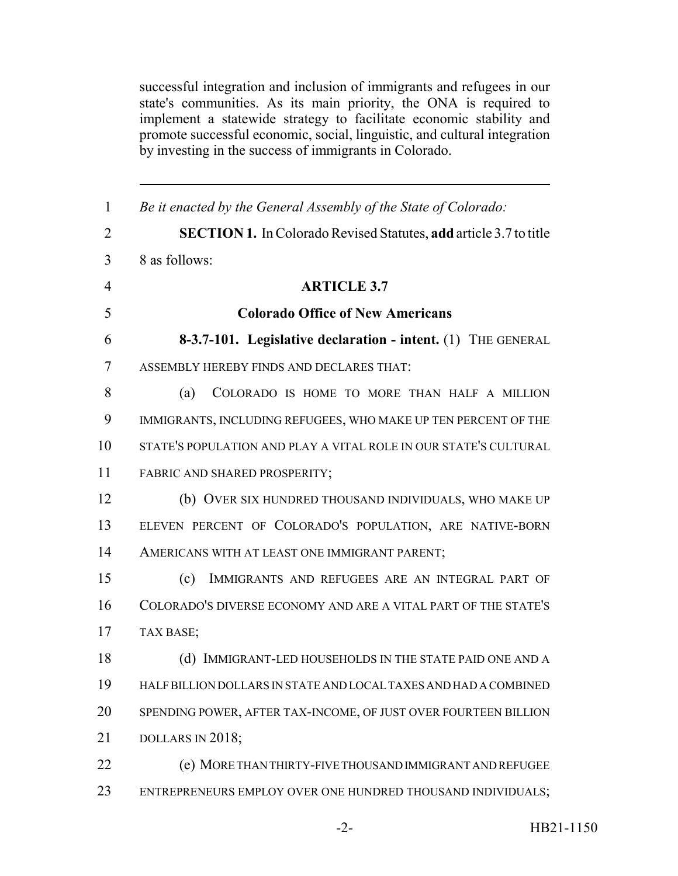successful integration and inclusion of immigrants and refugees in our state's communities. As its main priority, the ONA is required to implement a statewide strategy to facilitate economic stability and promote successful economic, social, linguistic, and cultural integration by investing in the success of immigrants in Colorado.

| $\mathbf{1}$   | Be it enacted by the General Assembly of the State of Colorado:          |
|----------------|--------------------------------------------------------------------------|
| $\overline{2}$ | <b>SECTION 1.</b> In Colorado Revised Statutes, add article 3.7 to title |
| 3              | 8 as follows:                                                            |
| $\overline{4}$ | <b>ARTICLE 3.7</b>                                                       |
| 5              | <b>Colorado Office of New Americans</b>                                  |
| 6              | 8-3.7-101. Legislative declaration - intent. (1) THE GENERAL             |
| 7              | ASSEMBLY HEREBY FINDS AND DECLARES THAT:                                 |
| 8              | COLORADO IS HOME TO MORE THAN HALF A MILLION<br>(a)                      |
| 9              | IMMIGRANTS, INCLUDING REFUGEES, WHO MAKE UP TEN PERCENT OF THE           |
| 10             | STATE'S POPULATION AND PLAY A VITAL ROLE IN OUR STATE'S CULTURAL         |
| 11             | FABRIC AND SHARED PROSPERITY;                                            |
| 12             | (b) OVER SIX HUNDRED THOUSAND INDIVIDUALS, WHO MAKE UP                   |
| 13             | ELEVEN PERCENT OF COLORADO'S POPULATION, ARE NATIVE-BORN                 |
| 14             | AMERICANS WITH AT LEAST ONE IMMIGRANT PARENT;                            |
| 15             | IMMIGRANTS AND REFUGEES ARE AN INTEGRAL PART OF<br>(c)                   |
| 16             | COLORADO'S DIVERSE ECONOMY AND ARE A VITAL PART OF THE STATE'S           |
| 17             | TAX BASE;                                                                |
| 18             | (d) IMMIGRANT-LED HOUSEHOLDS IN THE STATE PAID ONE AND A                 |
| 19             | HALF BILLION DOLLARS IN STATE AND LOCAL TAXES AND HAD A COMBINED         |
| 20             | SPENDING POWER, AFTER TAX-INCOME, OF JUST OVER FOURTEEN BILLION          |
| 21             | DOLLARS IN 2018;                                                         |
| 22             | (e) MORE THAN THIRTY-FIVE THOUSAND IMMIGRANT AND REFUGEE                 |
| 23             | ENTREPRENEURS EMPLOY OVER ONE HUNDRED THOUSAND INDIVIDUALS;              |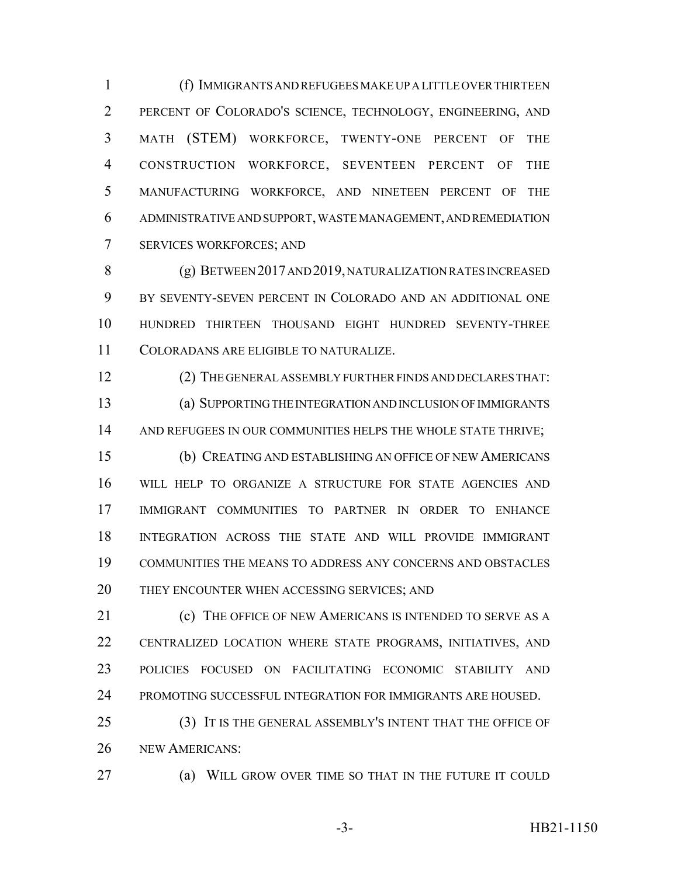(f) IMMIGRANTS AND REFUGEES MAKE UP A LITTLE OVER THIRTEEN PERCENT OF COLORADO'S SCIENCE, TECHNOLOGY, ENGINEERING, AND MATH (STEM) WORKFORCE, TWENTY-ONE PERCENT OF THE CONSTRUCTION WORKFORCE, SEVENTEEN PERCENT OF THE MANUFACTURING WORKFORCE, AND NINETEEN PERCENT OF THE ADMINISTRATIVE AND SUPPORT, WASTE MANAGEMENT, AND REMEDIATION SERVICES WORKFORCES; AND

 (g) BETWEEN 2017 AND 2019, NATURALIZATION RATES INCREASED BY SEVENTY-SEVEN PERCENT IN COLORADO AND AN ADDITIONAL ONE HUNDRED THIRTEEN THOUSAND EIGHT HUNDRED SEVENTY-THREE COLORADANS ARE ELIGIBLE TO NATURALIZE.

 (2) THE GENERAL ASSEMBLY FURTHER FINDS AND DECLARES THAT: (a) SUPPORTING THE INTEGRATION AND INCLUSION OF IMMIGRANTS AND REFUGEES IN OUR COMMUNITIES HELPS THE WHOLE STATE THRIVE; (b) CREATING AND ESTABLISHING AN OFFICE OF NEW AMERICANS WILL HELP TO ORGANIZE A STRUCTURE FOR STATE AGENCIES AND IMMIGRANT COMMUNITIES TO PARTNER IN ORDER TO ENHANCE INTEGRATION ACROSS THE STATE AND WILL PROVIDE IMMIGRANT COMMUNITIES THE MEANS TO ADDRESS ANY CONCERNS AND OBSTACLES THEY ENCOUNTER WHEN ACCESSING SERVICES; AND

 (c) THE OFFICE OF NEW AMERICANS IS INTENDED TO SERVE AS A CENTRALIZED LOCATION WHERE STATE PROGRAMS, INITIATIVES, AND POLICIES FOCUSED ON FACILITATING ECONOMIC STABILITY AND PROMOTING SUCCESSFUL INTEGRATION FOR IMMIGRANTS ARE HOUSED.

 (3) IT IS THE GENERAL ASSEMBLY'S INTENT THAT THE OFFICE OF NEW AMERICANS:

(a) WILL GROW OVER TIME SO THAT IN THE FUTURE IT COULD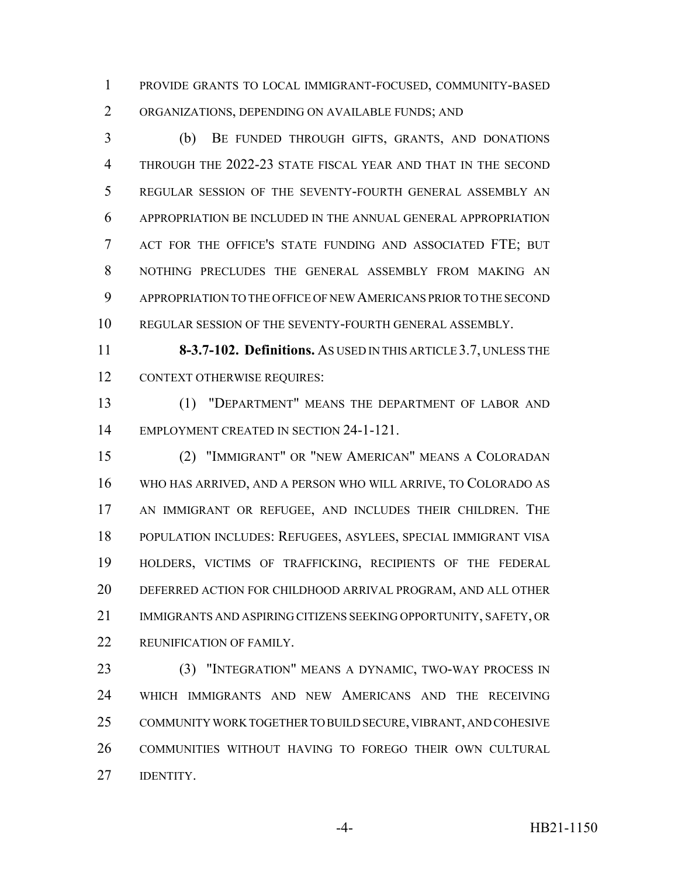PROVIDE GRANTS TO LOCAL IMMIGRANT-FOCUSED, COMMUNITY-BASED ORGANIZATIONS, DEPENDING ON AVAILABLE FUNDS; AND

 (b) BE FUNDED THROUGH GIFTS, GRANTS, AND DONATIONS 4 THROUGH THE 2022-23 STATE FISCAL YEAR AND THAT IN THE SECOND REGULAR SESSION OF THE SEVENTY-FOURTH GENERAL ASSEMBLY AN APPROPRIATION BE INCLUDED IN THE ANNUAL GENERAL APPROPRIATION ACT FOR THE OFFICE'S STATE FUNDING AND ASSOCIATED FTE; BUT NOTHING PRECLUDES THE GENERAL ASSEMBLY FROM MAKING AN APPROPRIATION TO THE OFFICE OF NEW AMERICANS PRIOR TO THE SECOND REGULAR SESSION OF THE SEVENTY-FOURTH GENERAL ASSEMBLY.

 **8-3.7-102. Definitions.** AS USED IN THIS ARTICLE 3.7, UNLESS THE 12 CONTEXT OTHERWISE REQUIRES:

 (1) "DEPARTMENT" MEANS THE DEPARTMENT OF LABOR AND 14 EMPLOYMENT CREATED IN SECTION 24-1-121.

 (2) "IMMIGRANT" OR "NEW AMERICAN" MEANS A COLORADAN WHO HAS ARRIVED, AND A PERSON WHO WILL ARRIVE, TO COLORADO AS AN IMMIGRANT OR REFUGEE, AND INCLUDES THEIR CHILDREN. THE POPULATION INCLUDES: REFUGEES, ASYLEES, SPECIAL IMMIGRANT VISA HOLDERS, VICTIMS OF TRAFFICKING, RECIPIENTS OF THE FEDERAL DEFERRED ACTION FOR CHILDHOOD ARRIVAL PROGRAM, AND ALL OTHER IMMIGRANTS AND ASPIRING CITIZENS SEEKING OPPORTUNITY, SAFETY, OR REUNIFICATION OF FAMILY.

23 (3) "INTEGRATION" MEANS A DYNAMIC, TWO-WAY PROCESS IN WHICH IMMIGRANTS AND NEW AMERICANS AND THE RECEIVING COMMUNITY WORK TOGETHER TO BUILD SECURE, VIBRANT, AND COHESIVE COMMUNITIES WITHOUT HAVING TO FOREGO THEIR OWN CULTURAL **IDENTITY.**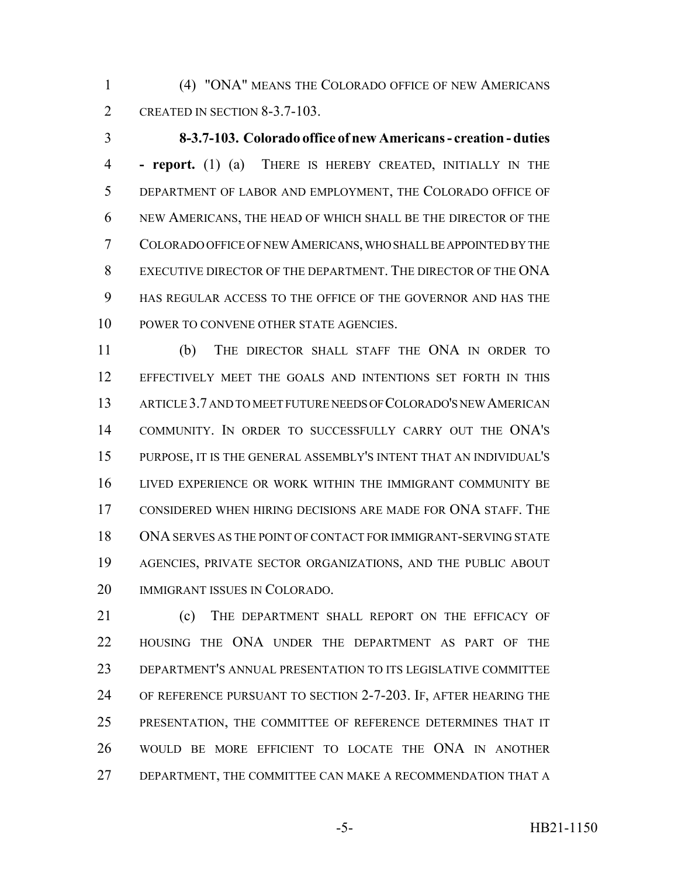(4) "ONA" MEANS THE COLORADO OFFICE OF NEW AMERICANS 2 CREATED IN SECTION 8-3.7-103.

 **8-3.7-103. Colorado office of new Americans - creation - duties - report.** (1) (a) THERE IS HEREBY CREATED, INITIALLY IN THE DEPARTMENT OF LABOR AND EMPLOYMENT, THE COLORADO OFFICE OF NEW AMERICANS, THE HEAD OF WHICH SHALL BE THE DIRECTOR OF THE COLORADO OFFICE OF NEW AMERICANS, WHO SHALL BE APPOINTED BY THE EXECUTIVE DIRECTOR OF THE DEPARTMENT. THE DIRECTOR OF THE ONA HAS REGULAR ACCESS TO THE OFFICE OF THE GOVERNOR AND HAS THE 10 POWER TO CONVENE OTHER STATE AGENCIES.

 (b) THE DIRECTOR SHALL STAFF THE ONA IN ORDER TO EFFECTIVELY MEET THE GOALS AND INTENTIONS SET FORTH IN THIS ARTICLE 3.7 AND TO MEET FUTURE NEEDS OF COLORADO'S NEW AMERICAN COMMUNITY. IN ORDER TO SUCCESSFULLY CARRY OUT THE ONA'S PURPOSE, IT IS THE GENERAL ASSEMBLY'S INTENT THAT AN INDIVIDUAL'S LIVED EXPERIENCE OR WORK WITHIN THE IMMIGRANT COMMUNITY BE CONSIDERED WHEN HIRING DECISIONS ARE MADE FOR ONA STAFF. THE ONA SERVES AS THE POINT OF CONTACT FOR IMMIGRANT-SERVING STATE AGENCIES, PRIVATE SECTOR ORGANIZATIONS, AND THE PUBLIC ABOUT IMMIGRANT ISSUES IN COLORADO.

 (c) THE DEPARTMENT SHALL REPORT ON THE EFFICACY OF HOUSING THE ONA UNDER THE DEPARTMENT AS PART OF THE DEPARTMENT'S ANNUAL PRESENTATION TO ITS LEGISLATIVE COMMITTEE OF REFERENCE PURSUANT TO SECTION 2-7-203. IF, AFTER HEARING THE PRESENTATION, THE COMMITTEE OF REFERENCE DETERMINES THAT IT WOULD BE MORE EFFICIENT TO LOCATE THE ONA IN ANOTHER 27 DEPARTMENT, THE COMMITTEE CAN MAKE A RECOMMENDATION THAT A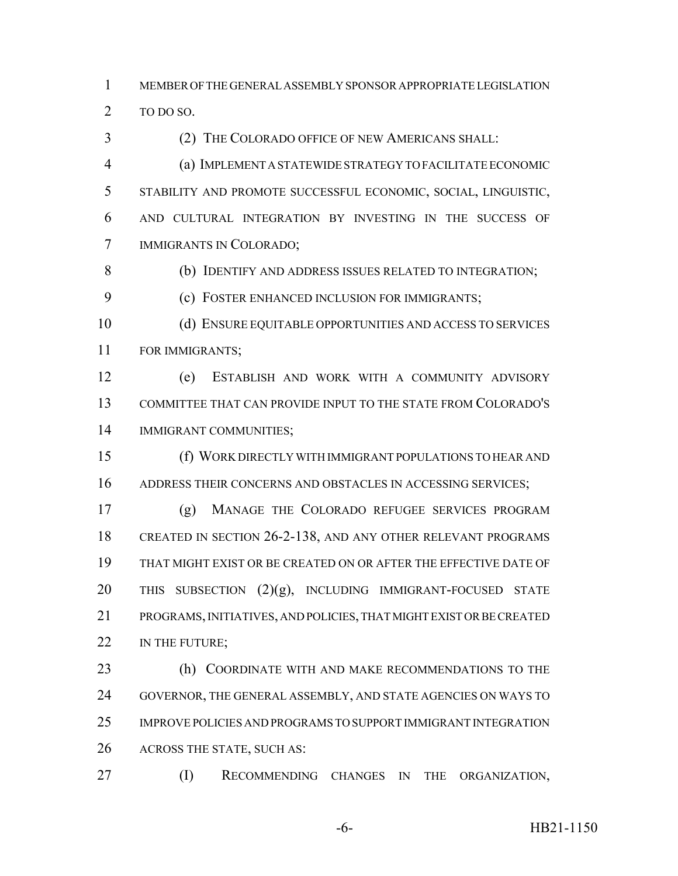MEMBER OF THE GENERAL ASSEMBLY SPONSOR APPROPRIATE LEGISLATION 2 TO DO SO.

(2) THE COLORADO OFFICE OF NEW AMERICANS SHALL:

 (a) IMPLEMENT A STATEWIDE STRATEGY TO FACILITATE ECONOMIC STABILITY AND PROMOTE SUCCESSFUL ECONOMIC, SOCIAL, LINGUISTIC, AND CULTURAL INTEGRATION BY INVESTING IN THE SUCCESS OF IMMIGRANTS IN COLORADO;

(b) IDENTIFY AND ADDRESS ISSUES RELATED TO INTEGRATION;

(c) FOSTER ENHANCED INCLUSION FOR IMMIGRANTS;

 (d) ENSURE EQUITABLE OPPORTUNITIES AND ACCESS TO SERVICES FOR IMMIGRANTS;

 (e) ESTABLISH AND WORK WITH A COMMUNITY ADVISORY COMMITTEE THAT CAN PROVIDE INPUT TO THE STATE FROM COLORADO'S IMMIGRANT COMMUNITIES;

 (f) WORK DIRECTLY WITH IMMIGRANT POPULATIONS TO HEAR AND 16 ADDRESS THEIR CONCERNS AND OBSTACLES IN ACCESSING SERVICES;

 (g) MANAGE THE COLORADO REFUGEE SERVICES PROGRAM 18 CREATED IN SECTION 26-2-138, AND ANY OTHER RELEVANT PROGRAMS THAT MIGHT EXIST OR BE CREATED ON OR AFTER THE EFFECTIVE DATE OF 20 THIS SUBSECTION  $(2)(g)$ , INCLUDING IMMIGRANT-FOCUSED STATE PROGRAMS, INITIATIVES, AND POLICIES, THAT MIGHT EXIST OR BE CREATED 22 IN THE FUTURE:

 (h) COORDINATE WITH AND MAKE RECOMMENDATIONS TO THE GOVERNOR, THE GENERAL ASSEMBLY, AND STATE AGENCIES ON WAYS TO IMPROVE POLICIES AND PROGRAMS TO SUPPORT IMMIGRANT INTEGRATION ACROSS THE STATE, SUCH AS:

(I) RECOMMENDING CHANGES IN THE ORGANIZATION,

-6- HB21-1150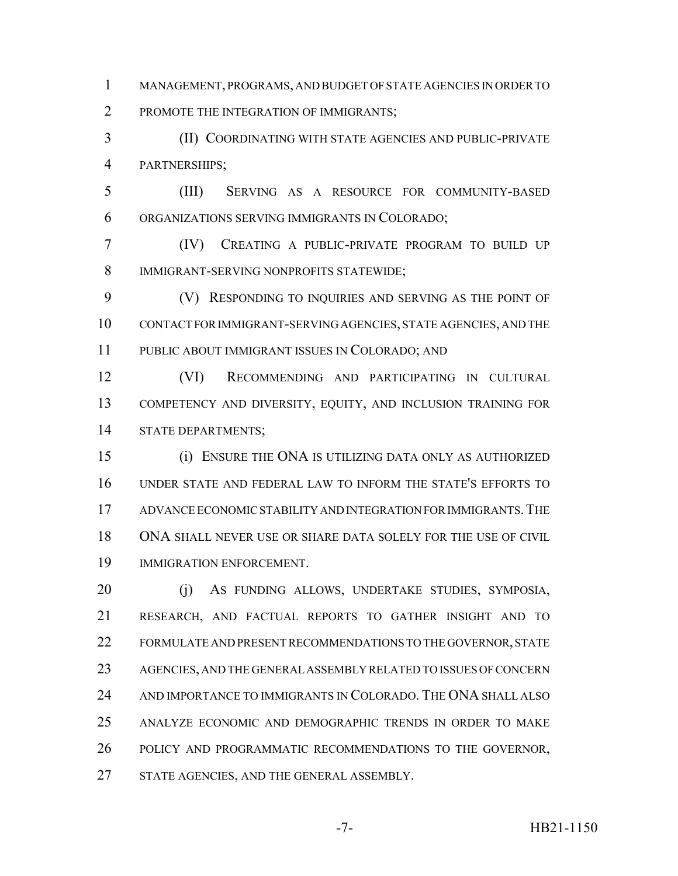MANAGEMENT, PROGRAMS, AND BUDGET OF STATE AGENCIES IN ORDER TO PROMOTE THE INTEGRATION OF IMMIGRANTS;

 (II) COORDINATING WITH STATE AGENCIES AND PUBLIC-PRIVATE PARTNERSHIPS;

 (III) SERVING AS A RESOURCE FOR COMMUNITY-BASED ORGANIZATIONS SERVING IMMIGRANTS IN COLORADO;

 (IV) CREATING A PUBLIC-PRIVATE PROGRAM TO BUILD UP IMMIGRANT-SERVING NONPROFITS STATEWIDE;

9 (V) RESPONDING TO INQUIRIES AND SERVING AS THE POINT OF CONTACT FOR IMMIGRANT-SERVING AGENCIES, STATE AGENCIES, AND THE PUBLIC ABOUT IMMIGRANT ISSUES IN COLORADO; AND

 (VI) RECOMMENDING AND PARTICIPATING IN CULTURAL COMPETENCY AND DIVERSITY, EQUITY, AND INCLUSION TRAINING FOR STATE DEPARTMENTS;

 (i) ENSURE THE ONA IS UTILIZING DATA ONLY AS AUTHORIZED UNDER STATE AND FEDERAL LAW TO INFORM THE STATE'S EFFORTS TO ADVANCE ECONOMIC STABILITY AND INTEGRATION FOR IMMIGRANTS.THE ONA SHALL NEVER USE OR SHARE DATA SOLELY FOR THE USE OF CIVIL IMMIGRATION ENFORCEMENT.

 (j) AS FUNDING ALLOWS, UNDERTAKE STUDIES, SYMPOSIA, RESEARCH, AND FACTUAL REPORTS TO GATHER INSIGHT AND TO FORMULATE AND PRESENT RECOMMENDATIONS TO THE GOVERNOR, STATE AGENCIES, AND THE GENERAL ASSEMBLY RELATED TO ISSUES OF CONCERN AND IMPORTANCE TO IMMIGRANTS IN COLORADO. THE ONA SHALL ALSO ANALYZE ECONOMIC AND DEMOGRAPHIC TRENDS IN ORDER TO MAKE POLICY AND PROGRAMMATIC RECOMMENDATIONS TO THE GOVERNOR, 27 STATE AGENCIES, AND THE GENERAL ASSEMBLY.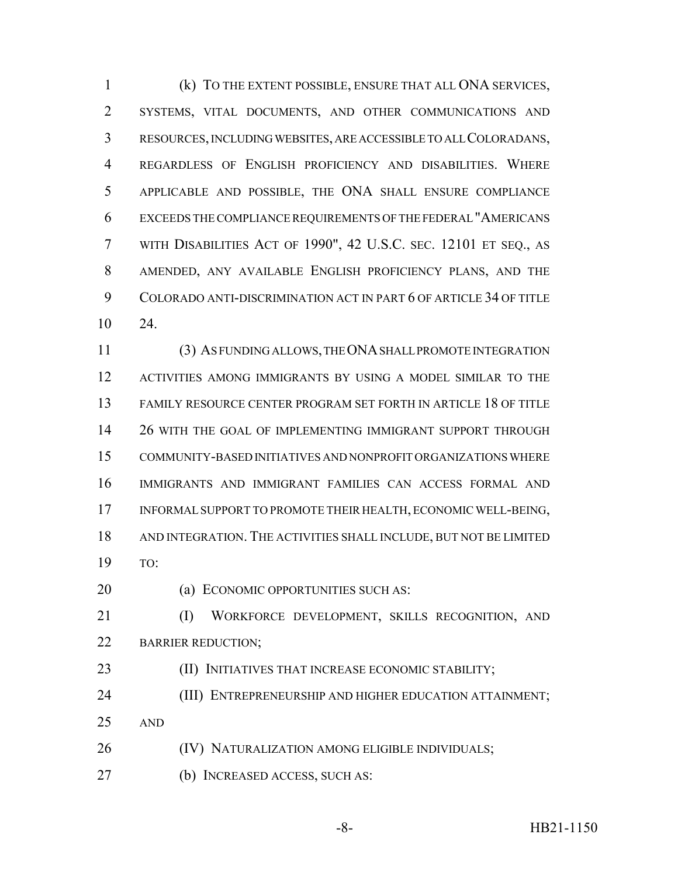(k) TO THE EXTENT POSSIBLE, ENSURE THAT ALL ONA SERVICES, SYSTEMS, VITAL DOCUMENTS, AND OTHER COMMUNICATIONS AND RESOURCES, INCLUDING WEBSITES, ARE ACCESSIBLE TO ALL COLORADANS, REGARDLESS OF ENGLISH PROFICIENCY AND DISABILITIES. WHERE APPLICABLE AND POSSIBLE, THE ONA SHALL ENSURE COMPLIANCE EXCEEDS THE COMPLIANCE REQUIREMENTS OF THE FEDERAL "AMERICANS WITH DISABILITIES ACT OF 1990", 42 U.S.C. SEC. 12101 ET SEQ., AS AMENDED, ANY AVAILABLE ENGLISH PROFICIENCY PLANS, AND THE COLORADO ANTI-DISCRIMINATION ACT IN PART 6 OF ARTICLE 34 OF TITLE 24.

 (3) AS FUNDING ALLOWS, THE ONA SHALL PROMOTE INTEGRATION ACTIVITIES AMONG IMMIGRANTS BY USING A MODEL SIMILAR TO THE FAMILY RESOURCE CENTER PROGRAM SET FORTH IN ARTICLE 18 OF TITLE 26 WITH THE GOAL OF IMPLEMENTING IMMIGRANT SUPPORT THROUGH COMMUNITY-BASED INITIATIVES AND NONPROFIT ORGANIZATIONS WHERE IMMIGRANTS AND IMMIGRANT FAMILIES CAN ACCESS FORMAL AND INFORMAL SUPPORT TO PROMOTE THEIR HEALTH, ECONOMIC WELL-BEING, AND INTEGRATION. THE ACTIVITIES SHALL INCLUDE, BUT NOT BE LIMITED TO:

**(a) ECONOMIC OPPORTUNITIES SUCH AS:** 

 (I) WORKFORCE DEVELOPMENT, SKILLS RECOGNITION, AND 22 BARRIER REDUCTION;

**(II) INITIATIVES THAT INCREASE ECONOMIC STABILITY;** 

**(III) ENTREPRENEURSHIP AND HIGHER EDUCATION ATTAINMENT;** 

AND

**(IV) NATURALIZATION AMONG ELIGIBLE INDIVIDUALS;** 

(b) INCREASED ACCESS, SUCH AS: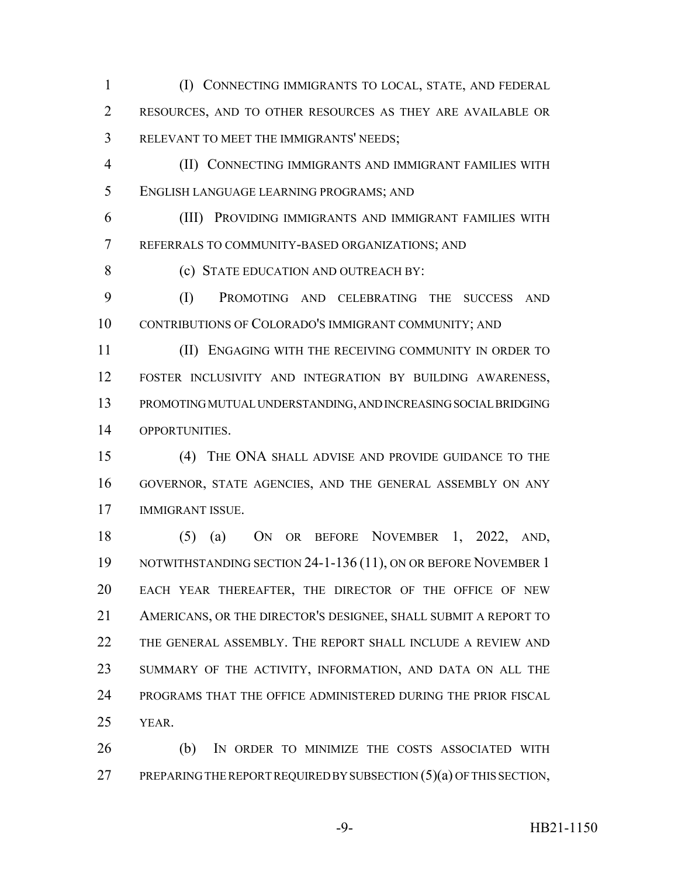(I) CONNECTING IMMIGRANTS TO LOCAL, STATE, AND FEDERAL RESOURCES, AND TO OTHER RESOURCES AS THEY ARE AVAILABLE OR RELEVANT TO MEET THE IMMIGRANTS' NEEDS;

 (II) CONNECTING IMMIGRANTS AND IMMIGRANT FAMILIES WITH ENGLISH LANGUAGE LEARNING PROGRAMS; AND

 (III) PROVIDING IMMIGRANTS AND IMMIGRANT FAMILIES WITH REFERRALS TO COMMUNITY-BASED ORGANIZATIONS; AND

8 (c) STATE EDUCATION AND OUTREACH BY:

 (I) PROMOTING AND CELEBRATING THE SUCCESS AND CONTRIBUTIONS OF COLORADO'S IMMIGRANT COMMUNITY; AND

 (II) ENGAGING WITH THE RECEIVING COMMUNITY IN ORDER TO FOSTER INCLUSIVITY AND INTEGRATION BY BUILDING AWARENESS, PROMOTING MUTUAL UNDERSTANDING, AND INCREASING SOCIAL BRIDGING OPPORTUNITIES.

 (4) THE ONA SHALL ADVISE AND PROVIDE GUIDANCE TO THE GOVERNOR, STATE AGENCIES, AND THE GENERAL ASSEMBLY ON ANY IMMIGRANT ISSUE.

 (5) (a) ON OR BEFORE NOVEMBER 1, 2022, AND, 19 NOTWITHSTANDING SECTION 24-1-136 (11), ON OR BEFORE NOVEMBER 1 EACH YEAR THEREAFTER, THE DIRECTOR OF THE OFFICE OF NEW AMERICANS, OR THE DIRECTOR'S DESIGNEE, SHALL SUBMIT A REPORT TO 22 THE GENERAL ASSEMBLY. THE REPORT SHALL INCLUDE A REVIEW AND SUMMARY OF THE ACTIVITY, INFORMATION, AND DATA ON ALL THE PROGRAMS THAT THE OFFICE ADMINISTERED DURING THE PRIOR FISCAL YEAR.

 (b) IN ORDER TO MINIMIZE THE COSTS ASSOCIATED WITH 27 PREPARING THE REPORT REQUIRED BY SUBSECTION (5)(a) OF THIS SECTION,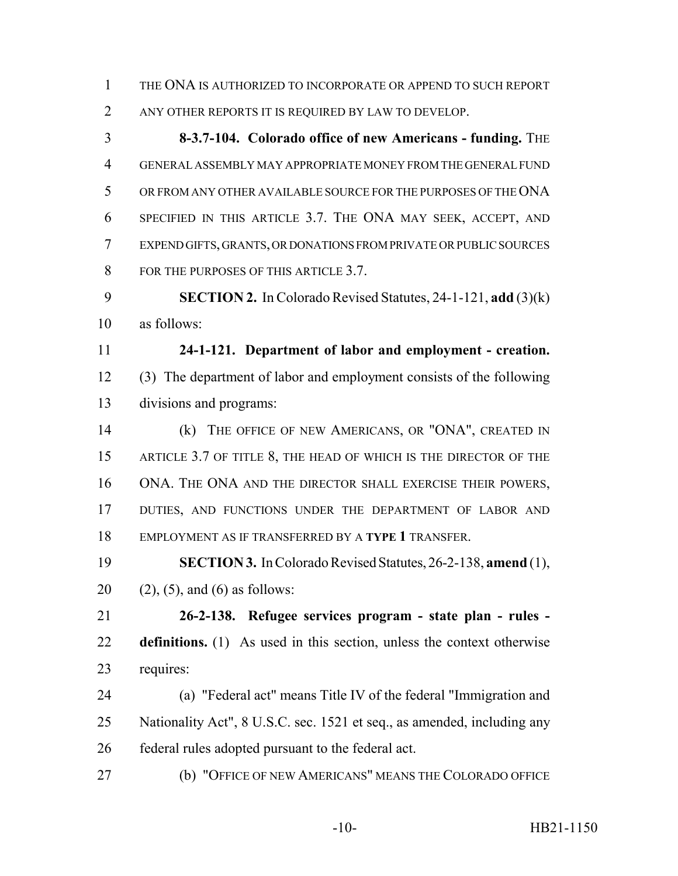THE ONA IS AUTHORIZED TO INCORPORATE OR APPEND TO SUCH REPORT

ANY OTHER REPORTS IT IS REQUIRED BY LAW TO DEVELOP.

 **8-3.7-104. Colorado office of new Americans - funding.** THE GENERAL ASSEMBLY MAY APPROPRIATE MONEY FROM THE GENERAL FUND OR FROM ANY OTHER AVAILABLE SOURCE FOR THE PURPOSES OF THE ONA SPECIFIED IN THIS ARTICLE 3.7. THE ONA MAY SEEK, ACCEPT, AND EXPEND GIFTS, GRANTS, OR DONATIONS FROM PRIVATE OR PUBLIC SOURCES 8 FOR THE PURPOSES OF THIS ARTICLE 3.7.

 **SECTION 2.** In Colorado Revised Statutes, 24-1-121, **add** (3)(k) as follows:

 **24-1-121. Department of labor and employment - creation.** (3) The department of labor and employment consists of the following divisions and programs:

 (k) THE OFFICE OF NEW AMERICANS, OR "ONA", CREATED IN 15 ARTICLE 3.7 OF TITLE 8, THE HEAD OF WHICH IS THE DIRECTOR OF THE ONA. THE ONA AND THE DIRECTOR SHALL EXERCISE THEIR POWERS, 17 DUTIES, AND FUNCTIONS UNDER THE DEPARTMENT OF LABOR AND EMPLOYMENT AS IF TRANSFERRED BY A **TYPE 1** TRANSFER.

 **SECTION 3.** In Colorado Revised Statutes, 26-2-138, **amend** (1), 20 (2), (5), and (6) as follows:

 **26-2-138. Refugee services program - state plan - rules - definitions.** (1) As used in this section, unless the context otherwise requires:

 (a) "Federal act" means Title IV of the federal "Immigration and Nationality Act", 8 U.S.C. sec. 1521 et seq., as amended, including any federal rules adopted pursuant to the federal act.

(b) "OFFICE OF NEW AMERICANS" MEANS THE COLORADO OFFICE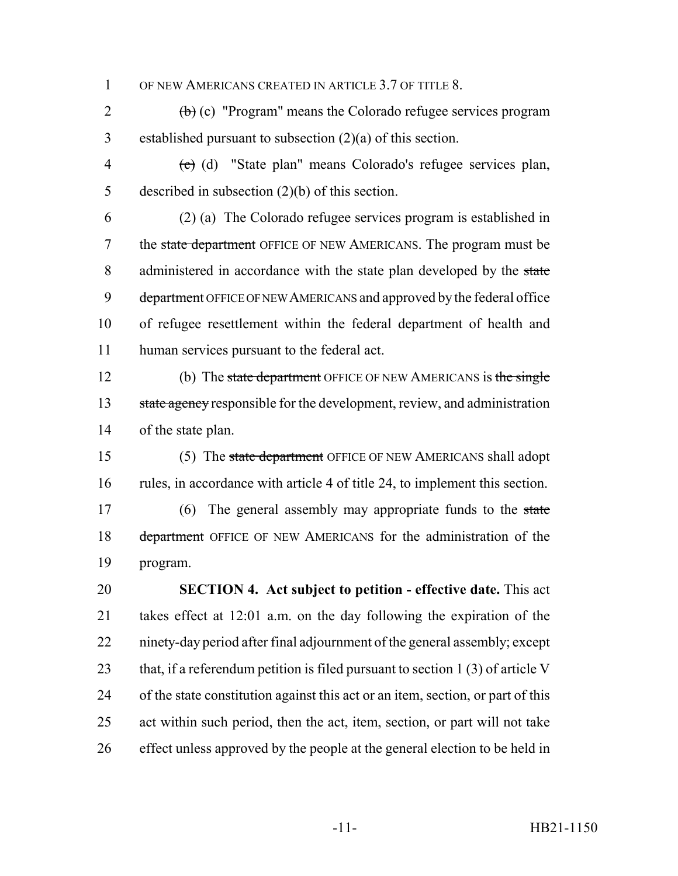1 OF NEW AMERICANS CREATED IN ARTICLE 3.7 OF TITLE 8.

2  $\left(\frac{b}{c}\right)$  (c) "Program" means the Colorado refugee services program 3 established pursuant to subsection (2)(a) of this section.

4 (c) (d) "State plan" means Colorado's refugee services plan, 5 described in subsection (2)(b) of this section.

6 (2) (a) The Colorado refugee services program is established in 7 the state department OFFICE OF NEW AMERICANS. The program must be 8 administered in accordance with the state plan developed by the state 9 department OFFICE OF NEW AMERICANS and approved by the federal office 10 of refugee resettlement within the federal department of health and 11 human services pursuant to the federal act.

12 (b) The state department OFFICE OF NEW AMERICANS is the single 13 state agency responsible for the development, review, and administration 14 of the state plan.

- 15 (5) The state department OFFICE OF NEW AMERICANS shall adopt 16 rules, in accordance with article 4 of title 24, to implement this section. 17 (6) The general assembly may appropriate funds to the state 18 department OFFICE OF NEW AMERICANS for the administration of the
- 19 program.

 **SECTION 4. Act subject to petition - effective date.** This act takes effect at 12:01 a.m. on the day following the expiration of the ninety-day period after final adjournment of the general assembly; except 23 that, if a referendum petition is filed pursuant to section 1 (3) of article V of the state constitution against this act or an item, section, or part of this act within such period, then the act, item, section, or part will not take effect unless approved by the people at the general election to be held in